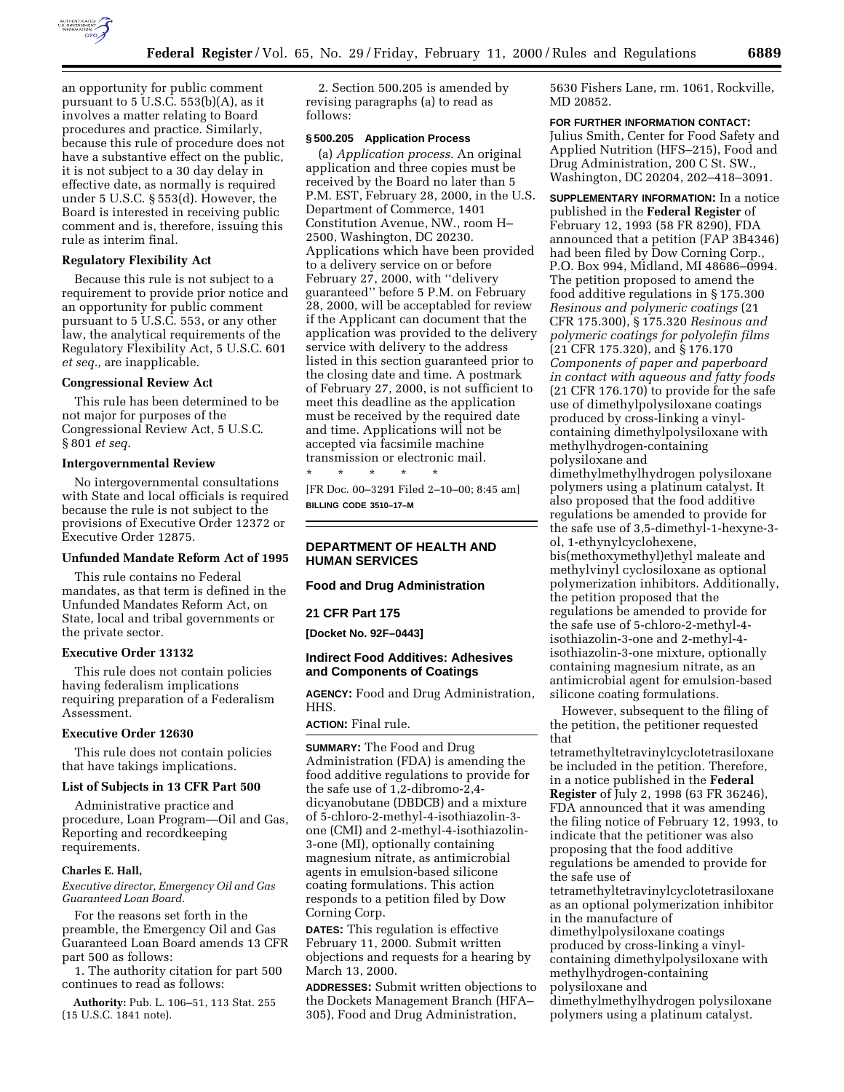

an opportunity for public comment pursuant to  $5$  U.S.C.  $553(b)(A)$ , as it involves a matter relating to Board procedures and practice. Similarly, because this rule of procedure does not have a substantive effect on the public, it is not subject to a 30 day delay in effective date, as normally is required under 5 U.S.C. § 553(d). However, the Board is interested in receiving public comment and is, therefore, issuing this rule as interim final.

#### **Regulatory Flexibility Act**

Because this rule is not subject to a requirement to provide prior notice and an opportunity for public comment pursuant to 5 U.S.C. 553, or any other law, the analytical requirements of the Regulatory Flexibility Act, 5 U.S.C. 601 *et seq.,* are inapplicable.

#### **Congressional Review Act**

This rule has been determined to be not major for purposes of the Congressional Review Act, 5 U.S.C. § 801 *et seq.*

# **Intergovernmental Review**

No intergovernmental consultations with State and local officials is required because the rule is not subject to the provisions of Executive Order 12372 or Executive Order 12875.

### **Unfunded Mandate Reform Act of 1995**

This rule contains no Federal mandates, as that term is defined in the Unfunded Mandates Reform Act, on State, local and tribal governments or the private sector.

## **Executive Order 13132**

This rule does not contain policies having federalism implications requiring preparation of a Federalism Assessment.

#### **Executive Order 12630**

This rule does not contain policies that have takings implications.

## **List of Subjects in 13 CFR Part 500**

Administrative practice and procedure, Loan Program—Oil and Gas, Reporting and recordkeeping requirements.

### **Charles E. Hall,**

*Executive director, Emergency Oil and Gas Guaranteed Loan Board.*

For the reasons set forth in the preamble, the Emergency Oil and Gas Guaranteed Loan Board amends 13 CFR part 500 as follows:

1. The authority citation for part 500 continues to read as follows:

**Authority:** Pub. L. 106–51, 113 Stat. 255 (15 U.S.C. 1841 note).

2. Section 500.205 is amended by revising paragraphs (a) to read as follows:

### **§ 500.205 Application Process**

(a) *Application process.* An original application and three copies must be received by the Board no later than 5 P.M. EST, February 28, 2000, in the U.S. Department of Commerce, 1401 Constitution Avenue, NW., room H– 2500, Washington, DC 20230. Applications which have been provided to a delivery service on or before February 27, 2000, with ''delivery guaranteed'' before 5 P.M. on February 28, 2000, will be acceptabled for review if the Applicant can document that the application was provided to the delivery service with delivery to the address listed in this section guaranteed prior to the closing date and time. A postmark of February 27, 2000, is not sufficient to meet this deadline as the application must be received by the required date and time. Applications will not be accepted via facsimile machine transmission or electronic mail.

\* \* \* \* \* [FR Doc. 00–3291 Filed 2–10–00; 8:45 am] **BILLING CODE 3510–17–M**

## **DEPARTMENT OF HEALTH AND HUMAN SERVICES**

## **Food and Drug Administration**

**21 CFR Part 175**

**[Docket No. 92F–0443]**

## **Indirect Food Additives: Adhesives and Components of Coatings**

**AGENCY:** Food and Drug Administration, HHS.

**ACTION:** Final rule.

**SUMMARY:** The Food and Drug Administration (FDA) is amending the food additive regulations to provide for the safe use of 1,2-dibromo-2,4 dicyanobutane (DBDCB) and a mixture of 5-chloro-2-methyl-4-isothiazolin-3 one (CMI) and 2-methyl-4-isothiazolin-3-one (MI), optionally containing magnesium nitrate, as antimicrobial agents in emulsion-based silicone coating formulations. This action responds to a petition filed by Dow Corning Corp.

**DATES:** This regulation is effective February 11, 2000. Submit written objections and requests for a hearing by March 13, 2000.

**ADDRESSES:** Submit written objections to the Dockets Management Branch (HFA– 305), Food and Drug Administration,

5630 Fishers Lane, rm. 1061, Rockville, MD 20852.

# **FOR FURTHER INFORMATION CONTACT:**

Julius Smith, Center for Food Safety and Applied Nutrition (HFS–215), Food and Drug Administration, 200 C St. SW., Washington, DC 20204, 202–418–3091.

**SUPPLEMENTARY INFORMATION:** In a notice published in the **Federal Register** of February 12, 1993 (58 FR 8290), FDA announced that a petition (FAP 3B4346) had been filed by Dow Corning Corp., P.O. Box 994, Midland, MI 48686–0994. The petition proposed to amend the food additive regulations in § 175.300 *Resinous and polymeric coatings* (21 CFR 175.300), § 175.320 *Resinous and polymeric coatings for polyolefin films* (21 CFR 175.320), and § 176.170 *Components of paper and paperboard in contact with aqueous and fatty foods* (21 CFR 176.170) to provide for the safe use of dimethylpolysiloxane coatings produced by cross-linking a vinylcontaining dimethylpolysiloxane with methylhydrogen-containing polysiloxane and

dimethylmethylhydrogen polysiloxane polymers using a platinum catalyst. It also proposed that the food additive regulations be amended to provide for the safe use of 3,5-dimethyl-1-hexyne-3 ol, 1-ethynylcyclohexene, bis(methoxymethyl)ethyl maleate and methylvinyl cyclosiloxane as optional polymerization inhibitors. Additionally, the petition proposed that the regulations be amended to provide for the safe use of 5-chloro-2-methyl-4 isothiazolin-3-one and 2-methyl-4 isothiazolin-3-one mixture, optionally containing magnesium nitrate, as an antimicrobial agent for emulsion-based silicone coating formulations.

However, subsequent to the filing of the petition, the petitioner requested that

tetramethyltetravinylcyclotetrasiloxane be included in the petition. Therefore, in a notice published in the **Federal Register** of July 2, 1998 (63 FR 36246), FDA announced that it was amending the filing notice of February 12, 1993, to indicate that the petitioner was also proposing that the food additive regulations be amended to provide for the safe use of tetramethyltetravinylcyclotetrasiloxane as an optional polymerization inhibitor in the manufacture of dimethylpolysiloxane coatings produced by cross-linking a vinylcontaining dimethylpolysiloxane with methylhydrogen-containing polysiloxane and dimethylmethylhydrogen polysiloxane polymers using a platinum catalyst.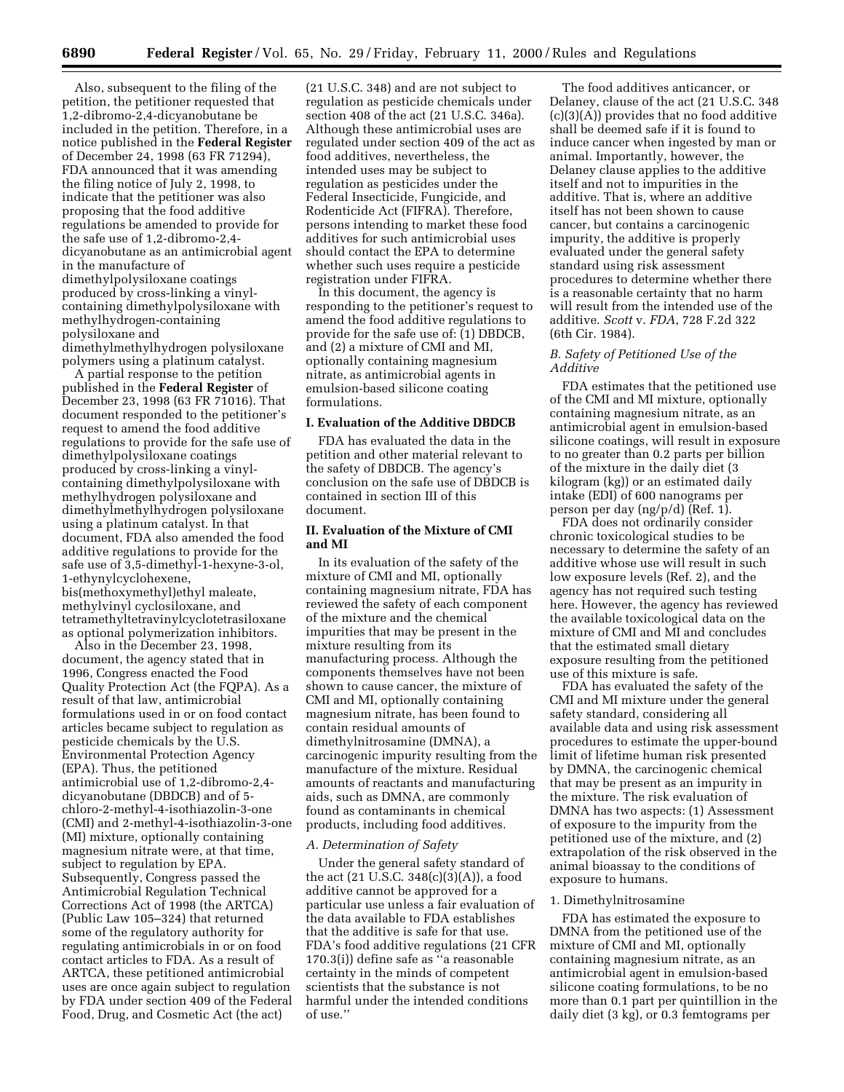Also, subsequent to the filing of the petition, the petitioner requested that 1,2-dibromo-2,4-dicyanobutane be included in the petition. Therefore, in a notice published in the **Federal Register** of December 24, 1998 (63 FR 71294), FDA announced that it was amending the filing notice of July 2, 1998, to indicate that the petitioner was also proposing that the food additive regulations be amended to provide for the safe use of 1,2-dibromo-2,4 dicyanobutane as an antimicrobial agent in the manufacture of dimethylpolysiloxane coatings produced by cross-linking a vinylcontaining dimethylpolysiloxane with methylhydrogen-containing polysiloxane and dimethylmethylhydrogen polysiloxane

polymers using a platinum catalyst. A partial response to the petition published in the **Federal Register** of December 23, 1998 (63 FR 71016). That document responded to the petitioner's request to amend the food additive regulations to provide for the safe use of dimethylpolysiloxane coatings produced by cross-linking a vinylcontaining dimethylpolysiloxane with methylhydrogen polysiloxane and dimethylmethylhydrogen polysiloxane using a platinum catalyst. In that document, FDA also amended the food additive regulations to provide for the safe use of 3,5-dimethyl-1-hexyne-3-ol, 1-ethynylcyclohexene, bis(methoxymethyl)ethyl maleate, methylvinyl cyclosiloxane, and tetramethyltetravinylcyclotetrasiloxane as optional polymerization inhibitors.

Also in the December 23, 1998, document, the agency stated that in 1996, Congress enacted the Food Quality Protection Act (the FQPA). As a result of that law, antimicrobial formulations used in or on food contact articles became subject to regulation as pesticide chemicals by the U.S. Environmental Protection Agency (EPA). Thus, the petitioned antimicrobial use of 1,2-dibromo-2,4 dicyanobutane (DBDCB) and of 5 chloro-2-methyl-4-isothiazolin-3-one (CMI) and 2-methyl-4-isothiazolin-3-one (MI) mixture, optionally containing magnesium nitrate were, at that time, subject to regulation by EPA. Subsequently, Congress passed the Antimicrobial Regulation Technical Corrections Act of 1998 (the ARTCA) (Public Law 105–324) that returned some of the regulatory authority for regulating antimicrobials in or on food contact articles to FDA. As a result of ARTCA, these petitioned antimicrobial uses are once again subject to regulation by FDA under section 409 of the Federal Food, Drug, and Cosmetic Act (the act)

(21 U.S.C. 348) and are not subject to regulation as pesticide chemicals under section 408 of the act (21 U.S.C. 346a). Although these antimicrobial uses are regulated under section 409 of the act as food additives, nevertheless, the intended uses may be subject to regulation as pesticides under the Federal Insecticide, Fungicide, and Rodenticide Act (FIFRA). Therefore, persons intending to market these food additives for such antimicrobial uses should contact the EPA to determine whether such uses require a pesticide registration under FIFRA.

In this document, the agency is responding to the petitioner's request to amend the food additive regulations to provide for the safe use of: (1) DBDCB, and (2) a mixture of CMI and MI, optionally containing magnesium nitrate, as antimicrobial agents in emulsion-based silicone coating formulations.

## **I. Evaluation of the Additive DBDCB**

FDA has evaluated the data in the petition and other material relevant to the safety of DBDCB. The agency's conclusion on the safe use of DBDCB is contained in section III of this document.

## **II. Evaluation of the Mixture of CMI and MI**

In its evaluation of the safety of the mixture of CMI and MI, optionally containing magnesium nitrate, FDA has reviewed the safety of each component of the mixture and the chemical impurities that may be present in the mixture resulting from its manufacturing process. Although the components themselves have not been shown to cause cancer, the mixture of CMI and MI, optionally containing magnesium nitrate, has been found to contain residual amounts of dimethylnitrosamine (DMNA), a carcinogenic impurity resulting from the manufacture of the mixture. Residual amounts of reactants and manufacturing aids, such as DMNA, are commonly found as contaminants in chemical products, including food additives.

### *A. Determination of Safety*

Under the general safety standard of the act (21 U.S.C. 348(c)(3)(A)), a food additive cannot be approved for a particular use unless a fair evaluation of the data available to FDA establishes that the additive is safe for that use. FDA's food additive regulations (21 CFR 170.3(i)) define safe as ''a reasonable certainty in the minds of competent scientists that the substance is not harmful under the intended conditions of use.''

The food additives anticancer, or Delaney, clause of the act (21 U.S.C. 348 (c)(3)(A)) provides that no food additive shall be deemed safe if it is found to induce cancer when ingested by man or animal. Importantly, however, the Delaney clause applies to the additive itself and not to impurities in the additive. That is, where an additive itself has not been shown to cause cancer, but contains a carcinogenic impurity, the additive is properly evaluated under the general safety standard using risk assessment procedures to determine whether there is a reasonable certainty that no harm will result from the intended use of the additive. *Scott* v. *FDA*, 728 F.2d 322 (6th Cir. 1984).

### *B. Safety of Petitioned Use of the Additive*

FDA estimates that the petitioned use of the CMI and MI mixture, optionally containing magnesium nitrate, as an antimicrobial agent in emulsion-based silicone coatings, will result in exposure to no greater than 0.2 parts per billion of the mixture in the daily diet (3 kilogram (kg)) or an estimated daily intake (EDI) of 600 nanograms per person per day (ng/p/d) (Ref. 1).

FDA does not ordinarily consider chronic toxicological studies to be necessary to determine the safety of an additive whose use will result in such low exposure levels (Ref. 2), and the agency has not required such testing here. However, the agency has reviewed the available toxicological data on the mixture of CMI and MI and concludes that the estimated small dietary exposure resulting from the petitioned use of this mixture is safe.

FDA has evaluated the safety of the CMI and MI mixture under the general safety standard, considering all available data and using risk assessment procedures to estimate the upper-bound limit of lifetime human risk presented by DMNA, the carcinogenic chemical that may be present as an impurity in the mixture. The risk evaluation of DMNA has two aspects: (1) Assessment of exposure to the impurity from the petitioned use of the mixture, and (2) extrapolation of the risk observed in the animal bioassay to the conditions of exposure to humans.

### 1. Dimethylnitrosamine

FDA has estimated the exposure to DMNA from the petitioned use of the mixture of CMI and MI, optionally containing magnesium nitrate, as an antimicrobial agent in emulsion-based silicone coating formulations, to be no more than 0.1 part per quintillion in the daily diet (3 kg), or 0.3 femtograms per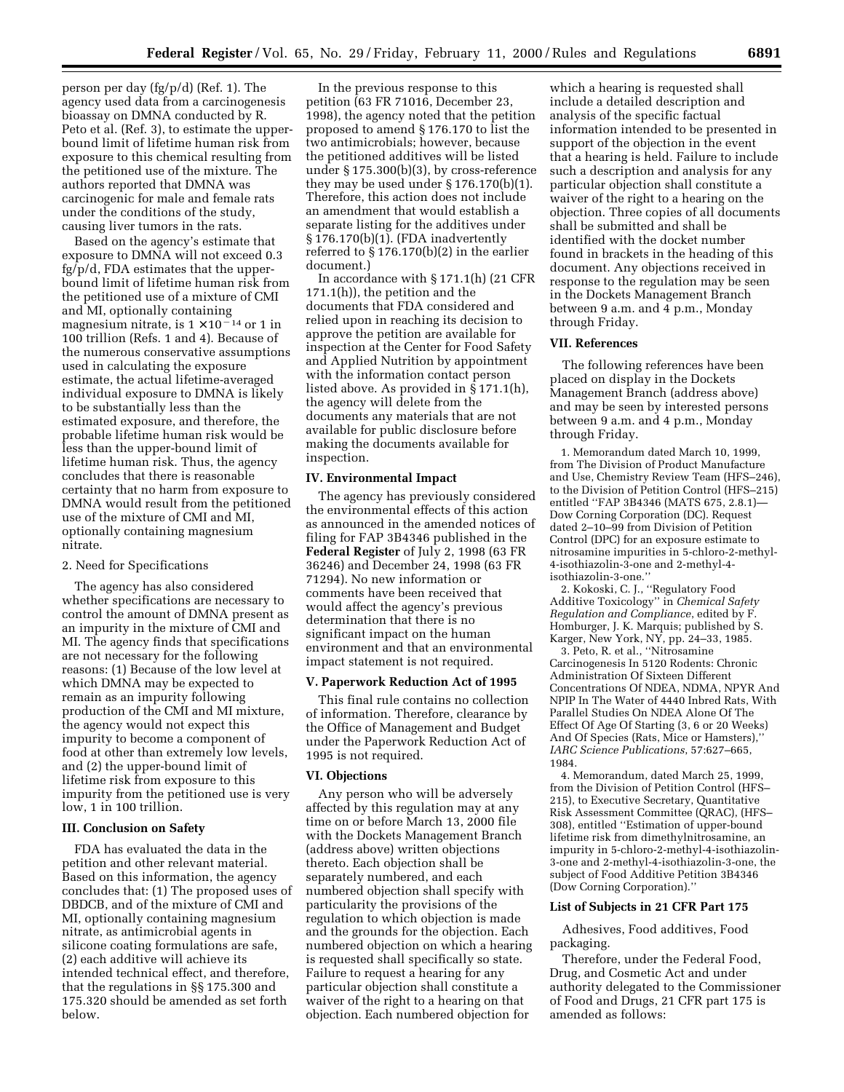person per day (fg/p/d) (Ref. 1). The agency used data from a carcinogenesis bioassay on DMNA conducted by R. Peto et al. (Ref. 3), to estimate the upperbound limit of lifetime human risk from exposure to this chemical resulting from the petitioned use of the mixture. The authors reported that DMNA was carcinogenic for male and female rats under the conditions of the study, causing liver tumors in the rats.

Based on the agency's estimate that exposure to DMNA will not exceed 0.3 fg/p/d, FDA estimates that the upperbound limit of lifetime human risk from the petitioned use of a mixture of CMI and MI, optionally containing magnesium nitrate, is  $1 \times 10^{-14}$  or 1 in 100 trillion (Refs. 1 and 4). Because of the numerous conservative assumptions used in calculating the exposure estimate, the actual lifetime-averaged individual exposure to DMNA is likely to be substantially less than the estimated exposure, and therefore, the probable lifetime human risk would be less than the upper-bound limit of lifetime human risk. Thus, the agency concludes that there is reasonable certainty that no harm from exposure to DMNA would result from the petitioned use of the mixture of CMI and MI, optionally containing magnesium nitrate.

## 2. Need for Specifications

The agency has also considered whether specifications are necessary to control the amount of DMNA present as an impurity in the mixture of CMI and MI. The agency finds that specifications are not necessary for the following reasons: (1) Because of the low level at which DMNA may be expected to remain as an impurity following production of the CMI and MI mixture, the agency would not expect this impurity to become a component of food at other than extremely low levels, and (2) the upper-bound limit of lifetime risk from exposure to this impurity from the petitioned use is very low, 1 in 100 trillion.

### **III. Conclusion on Safety**

FDA has evaluated the data in the petition and other relevant material. Based on this information, the agency concludes that: (1) The proposed uses of DBDCB, and of the mixture of CMI and MI, optionally containing magnesium nitrate, as antimicrobial agents in silicone coating formulations are safe, (2) each additive will achieve its intended technical effect, and therefore, that the regulations in §§ 175.300 and 175.320 should be amended as set forth below.

In the previous response to this petition (63 FR 71016, December 23, 1998), the agency noted that the petition proposed to amend § 176.170 to list the two antimicrobials; however, because the petitioned additives will be listed under § 175.300(b)(3), by cross-reference they may be used under § 176.170(b)(1). Therefore, this action does not include an amendment that would establish a separate listing for the additives under § 176.170(b)(1). (FDA inadvertently referred to  $\S 176.170(b)(2)$  in the earlier document.)

In accordance with § 171.1(h) (21 CFR 171.1(h)), the petition and the documents that FDA considered and relied upon in reaching its decision to approve the petition are available for inspection at the Center for Food Safety and Applied Nutrition by appointment with the information contact person listed above. As provided in § 171.1(h), the agency will delete from the documents any materials that are not available for public disclosure before making the documents available for inspection.

### **IV. Environmental Impact**

The agency has previously considered the environmental effects of this action as announced in the amended notices of filing for FAP 3B4346 published in the **Federal Register** of July 2, 1998 (63 FR 36246) and December 24, 1998 (63 FR 71294). No new information or comments have been received that would affect the agency's previous determination that there is no significant impact on the human environment and that an environmental impact statement is not required.

#### **V. Paperwork Reduction Act of 1995**

This final rule contains no collection of information. Therefore, clearance by the Office of Management and Budget under the Paperwork Reduction Act of 1995 is not required.

### **VI. Objections**

Any person who will be adversely affected by this regulation may at any time on or before March 13, 2000 file with the Dockets Management Branch (address above) written objections thereto. Each objection shall be separately numbered, and each numbered objection shall specify with particularity the provisions of the regulation to which objection is made and the grounds for the objection. Each numbered objection on which a hearing is requested shall specifically so state. Failure to request a hearing for any particular objection shall constitute a waiver of the right to a hearing on that objection. Each numbered objection for

which a hearing is requested shall include a detailed description and analysis of the specific factual information intended to be presented in support of the objection in the event that a hearing is held. Failure to include such a description and analysis for any particular objection shall constitute a waiver of the right to a hearing on the objection. Three copies of all documents shall be submitted and shall be identified with the docket number found in brackets in the heading of this document. Any objections received in response to the regulation may be seen in the Dockets Management Branch between 9 a.m. and 4 p.m., Monday through Friday.

### **VII. References**

The following references have been placed on display in the Dockets Management Branch (address above) and may be seen by interested persons between 9 a.m. and 4 p.m., Monday through Friday.

1. Memorandum dated March 10, 1999, from The Division of Product Manufacture and Use, Chemistry Review Team (HFS–246), to the Division of Petition Control (HFS–215) entitled ''FAP 3B4346 (MATS 675, 2.8.1)— Dow Corning Corporation (DC). Request dated 2–10–99 from Division of Petition Control (DPC) for an exposure estimate to nitrosamine impurities in 5-chloro-2-methyl-4-isothiazolin-3-one and 2-methyl-4 isothiazolin-3-one.''

2. Kokoski, C. J., ''Regulatory Food Additive Toxicology'' in *Chemical Safety Regulation and Compliance*, edited by F. Homburger, J. K. Marquis; published by S. Karger, New York, NY, pp. 24–33, 1985.

3. Peto, R. et al., ''Nitrosamine Carcinogenesis In 5120 Rodents: Chronic Administration Of Sixteen Different Concentrations Of NDEA, NDMA, NPYR And NPIP In The Water of 4440 Inbred Rats, With Parallel Studies On NDEA Alone Of The Effect Of Age Of Starting (3, 6 or 20 Weeks) And Of Species (Rats, Mice or Hamsters),'' *IARC Science Publications*, 57:627–665, 1984.

4. Memorandum, dated March 25, 1999, from the Division of Petition Control (HFS– 215), to Executive Secretary, Quantitative Risk Assessment Committee (QRAC), (HFS– 308), entitled ''Estimation of upper-bound lifetime risk from dimethylnitrosamine, an impurity in 5-chloro-2-methyl-4-isothiazolin-3-one and 2-methyl-4-isothiazolin-3-one, the subject of Food Additive Petition 3B4346 (Dow Corning Corporation).''

## **List of Subjects in 21 CFR Part 175**

Adhesives, Food additives, Food packaging.

Therefore, under the Federal Food, Drug, and Cosmetic Act and under authority delegated to the Commissioner of Food and Drugs, 21 CFR part 175 is amended as follows: